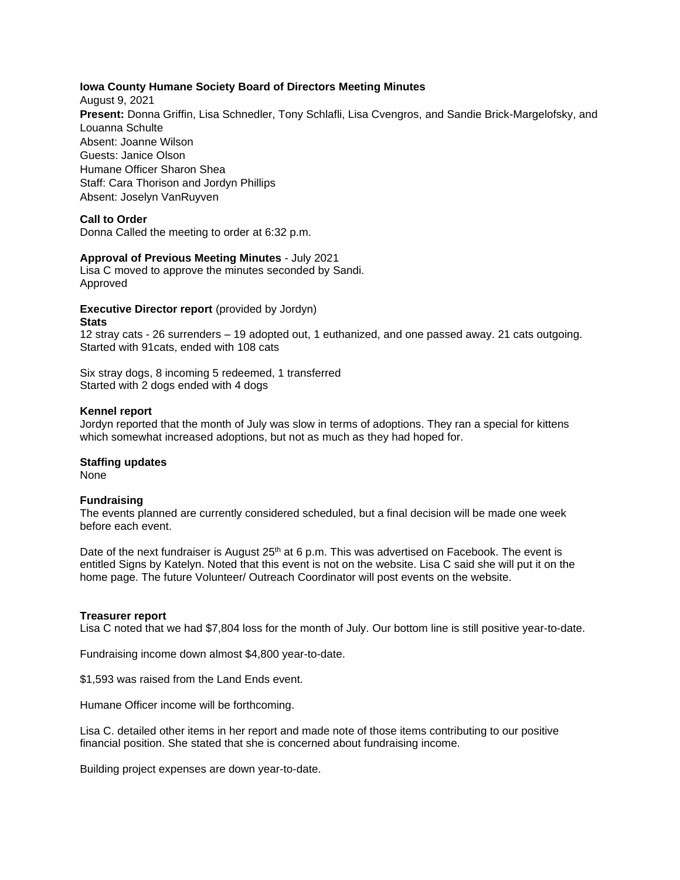# **Iowa County Humane Society Board of Directors Meeting Minutes**

August 9, 2021 **Present:** Donna Griffin, Lisa Schnedler, Tony Schlafli, Lisa Cvengros, and Sandie Brick-Margelofsky, and Louanna Schulte Absent: Joanne Wilson Guests: Janice Olson Humane Officer Sharon Shea Staff: Cara Thorison and Jordyn Phillips Absent: Joselyn VanRuyven

# **Call to Order**

Donna Called the meeting to order at 6:32 p.m.

# **Approval of Previous Meeting Minutes** - July 2021

Lisa C moved to approve the minutes seconded by Sandi. Approved

#### **Executive Director report** (provided by Jordyn) **Stats**

12 stray cats - 26 surrenders – 19 adopted out, 1 euthanized, and one passed away. 21 cats outgoing. Started with 91cats, ended with 108 cats

Six stray dogs, 8 incoming 5 redeemed, 1 transferred Started with 2 dogs ended with 4 dogs

#### **Kennel report**

Jordyn reported that the month of July was slow in terms of adoptions. They ran a special for kittens which somewhat increased adoptions, but not as much as they had hoped for.

# **Staffing updates**

None

# **Fundraising**

The events planned are currently considered scheduled, but a final decision will be made one week before each event.

Date of the next fundraiser is August  $25<sup>th</sup>$  at 6 p.m. This was advertised on Facebook. The event is entitled Signs by Katelyn. Noted that this event is not on the website. Lisa C said she will put it on the home page. The future Volunteer/ Outreach Coordinator will post events on the website.

# **Treasurer report**

Lisa C noted that we had \$7,804 loss for the month of July. Our bottom line is still positive year-to-date.

Fundraising income down almost \$4,800 year-to-date.

\$1,593 was raised from the Land Ends event.

Humane Officer income will be forthcoming.

Lisa C. detailed other items in her report and made note of those items contributing to our positive financial position. She stated that she is concerned about fundraising income.

Building project expenses are down year-to-date.